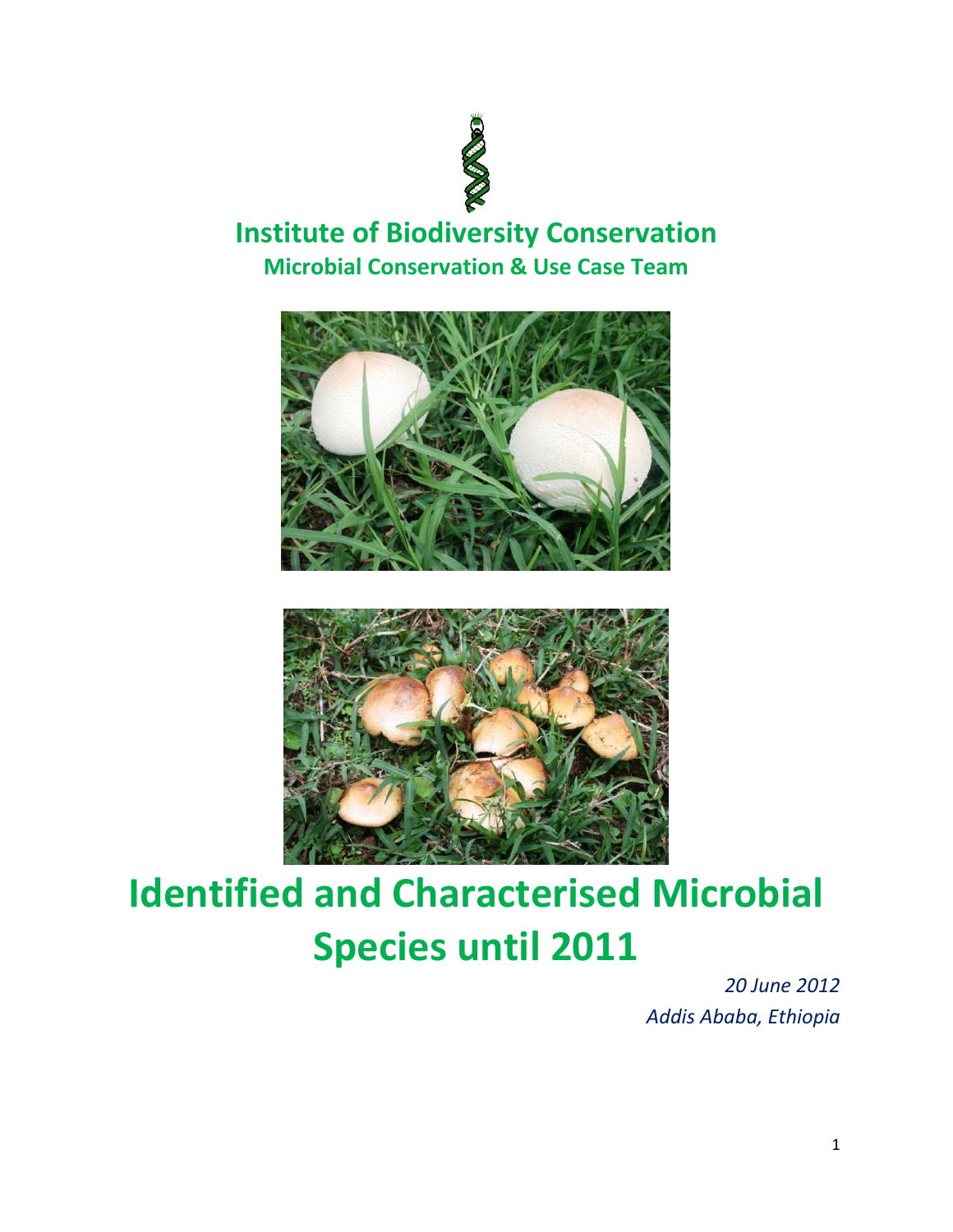

## **Institute of Biodiversity Conservation Microbial Conservation & Use Case Team**





## **Identified and Characterised Microbial Species until 2011**

*20 June 2012 Addis Ababa, Ethiopia*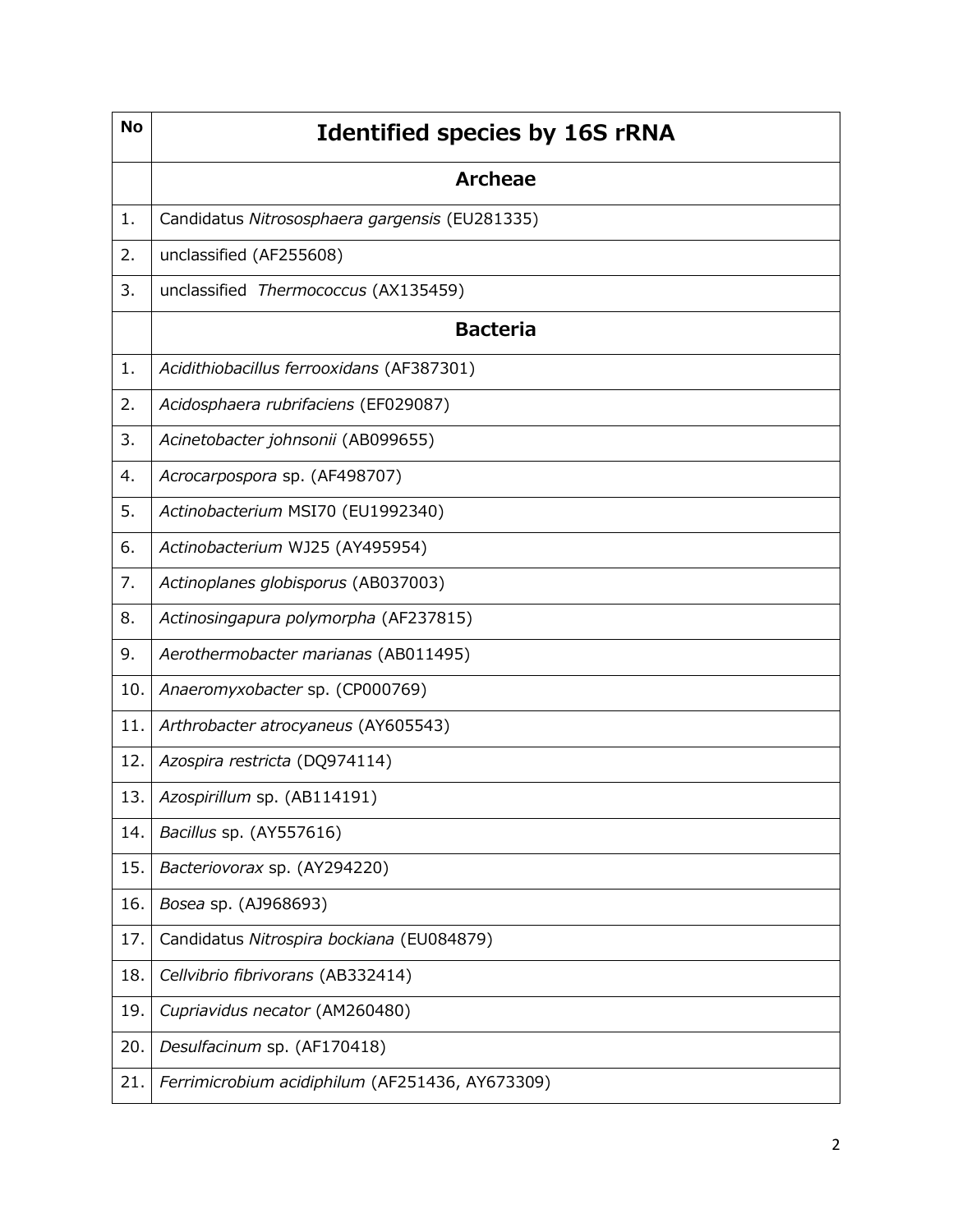| <b>No</b> | <b>Identified species by 16S rRNA</b>           |
|-----------|-------------------------------------------------|
|           | <b>Archeae</b>                                  |
| 1.        | Candidatus Nitrososphaera gargensis (EU281335)  |
| 2.        | unclassified (AF255608)                         |
| 3.        | unclassified Thermococcus (AX135459)            |
|           | <b>Bacteria</b>                                 |
| 1.        | Acidithiobacillus ferrooxidans (AF387301)       |
| 2.        | Acidosphaera rubrifaciens (EF029087)            |
| 3.        | Acinetobacter johnsonii (AB099655)              |
| 4.        | Acrocarpospora sp. (AF498707)                   |
| 5.        | Actinobacterium MSI70 (EU1992340)               |
| 6.        | Actinobacterium WJ25 (AY495954)                 |
| 7.        | Actinoplanes globisporus (AB037003)             |
| 8.        | Actinosingapura polymorpha (AF237815)           |
| 9.        | Aerothermobacter marianas (AB011495)            |
| 10.       | Anaeromyxobacter sp. (CP000769)                 |
| 11.       | Arthrobacter atrocyaneus (AY605543)             |
| 12.       | Azospira restricta (DQ974114)                   |
| 13.       | Azospirillum sp. (AB114191)                     |
| 14.       | Bacillus sp. (AY557616)                         |
| 15.       | Bacteriovorax sp. (AY294220)                    |
| 16.       | Bosea sp. (AJ968693)                            |
| 17.       | Candidatus Nitrospira bockiana (EU084879)       |
| 18.       | Cellvibrio fibrivorans (AB332414)               |
| 19.       | Cupriavidus necator (AM260480)                  |
| 20.       | Desulfacinum sp. (AF170418)                     |
| 21.       | Ferrimicrobium acidiphilum (AF251436, AY673309) |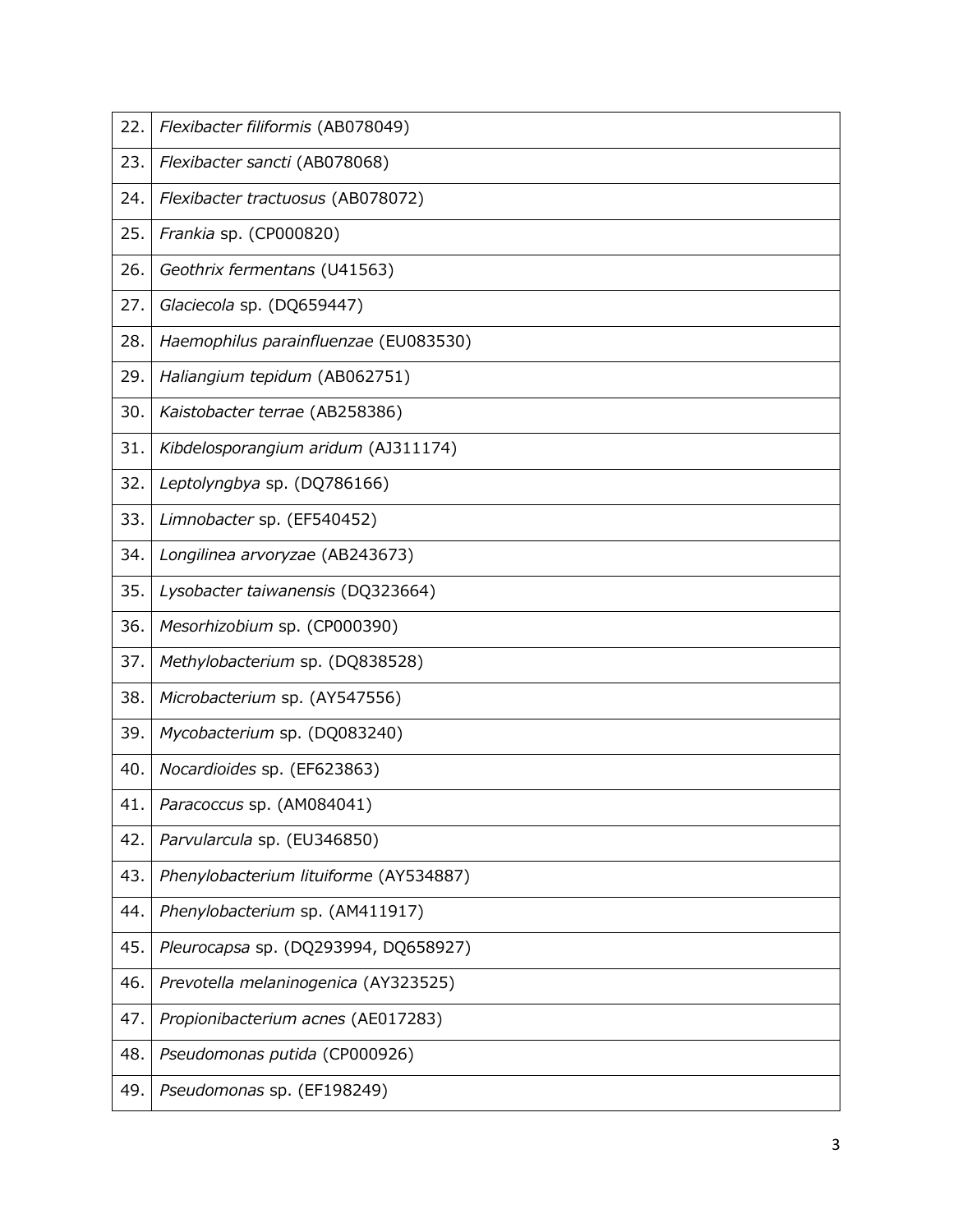| 22. | Flexibacter filiformis (AB078049)      |
|-----|----------------------------------------|
| 23. | Flexibacter sancti (AB078068)          |
| 24. | Flexibacter tractuosus (AB078072)      |
| 25. | Frankia sp. (CP000820)                 |
| 26. | Geothrix fermentans (U41563)           |
| 27. | Glaciecola sp. (DQ659447)              |
| 28. | Haemophilus parainfluenzae (EU083530)  |
| 29. | Haliangium tepidum (AB062751)          |
| 30. | Kaistobacter terrae (AB258386)         |
| 31. | Kibdelosporangium aridum (AJ311174)    |
| 32. | Leptolyngbya sp. (DQ786166)            |
| 33. | Limnobacter sp. (EF540452)             |
| 34. | Longilinea arvoryzae (AB243673)        |
| 35. | Lysobacter taiwanensis (DQ323664)      |
| 36. | Mesorhizobium sp. (CP000390)           |
| 37. | Methylobacterium sp. (DQ838528)        |
| 38. | Microbacterium sp. (AY547556)          |
| 39. | Mycobacterium sp. (DQ083240)           |
| 40. | Nocardioides sp. (EF623863)            |
| 41. | Paracoccus sp. (AM084041)              |
| 42. | Parvularcula sp. (EU346850)            |
| 43. | Phenylobacterium lituiforme (AY534887) |
| 44. | Phenylobacterium sp. (AM411917)        |
| 45. | Pleurocapsa sp. (DQ293994, DQ658927)   |
| 46. | Prevotella melaninogenica (AY323525)   |
| 47. | Propionibacterium acnes (AE017283)     |
| 48. | Pseudomonas putida (CP000926)          |
| 49. | Pseudomonas sp. (EF198249)             |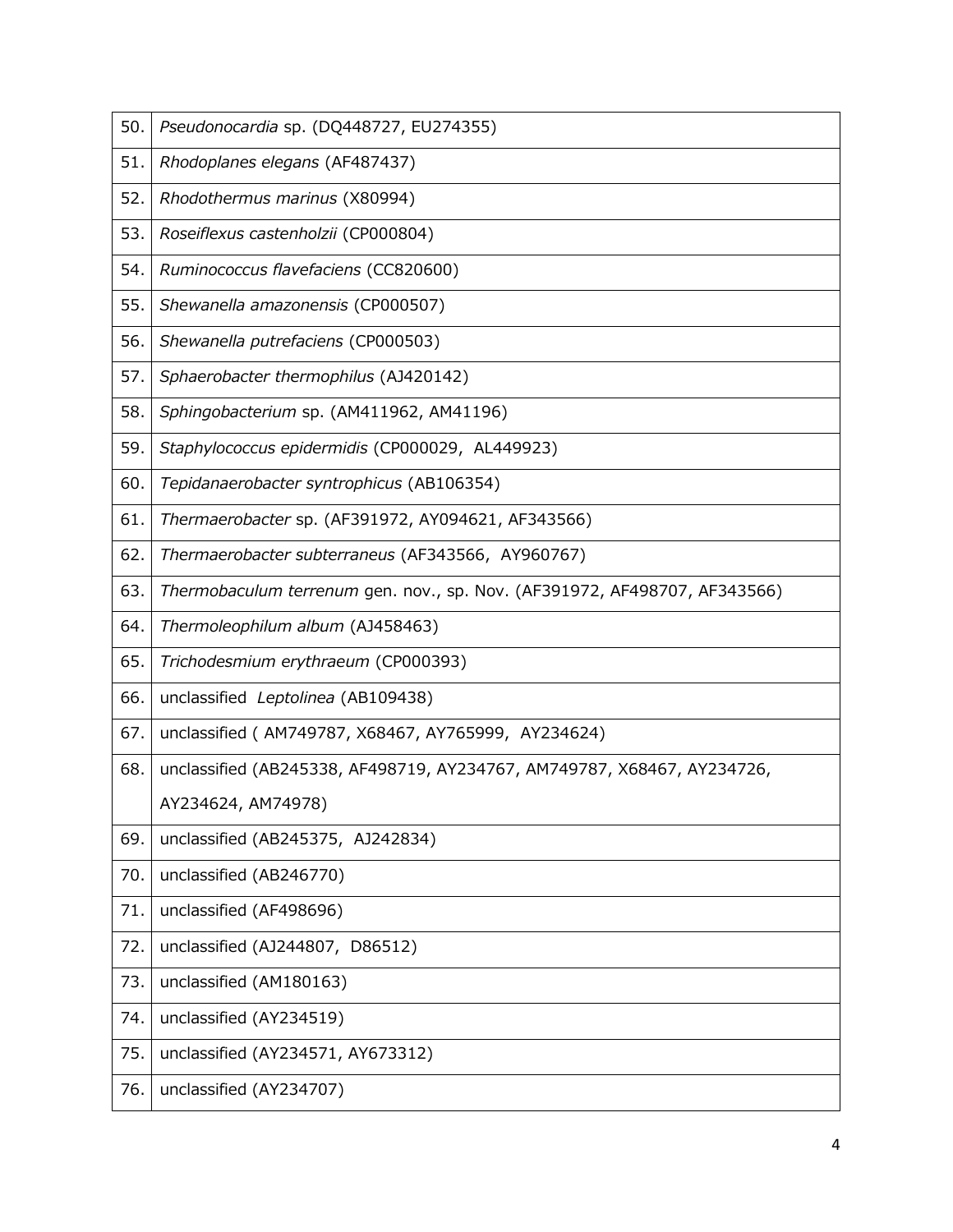| 50. | Pseudonocardia sp. (DQ448727, EU274355)                                   |
|-----|---------------------------------------------------------------------------|
| 51. | Rhodoplanes elegans (AF487437)                                            |
| 52. | Rhodothermus marinus (X80994)                                             |
| 53. | Roseiflexus castenholzii (CP000804)                                       |
| 54. | Ruminococcus flavefaciens (CC820600)                                      |
| 55. | Shewanella amazonensis (CP000507)                                         |
| 56. | Shewanella putrefaciens (CP000503)                                        |
| 57. | Sphaerobacter thermophilus (AJ420142)                                     |
| 58. | Sphingobacterium sp. (AM411962, AM41196)                                  |
| 59. | Staphylococcus epidermidis (CP000029, AL449923)                           |
| 60. | Tepidanaerobacter syntrophicus (AB106354)                                 |
| 61. | Thermaerobacter sp. (AF391972, AY094621, AF343566)                        |
| 62. | Thermaerobacter subterraneus (AF343566, AY960767)                         |
| 63. | Thermobaculum terrenum gen. nov., sp. Nov. (AF391972, AF498707, AF343566) |
| 64. | Thermoleophilum album (AJ458463)                                          |
| 65. | Trichodesmium erythraeum (CP000393)                                       |
| 66. | unclassified Leptolinea (AB109438)                                        |
| 67. | unclassified (AM749787, X68467, AY765999, AY234624)                       |
| 68. | unclassified (AB245338, AF498719, AY234767, AM749787, X68467, AY234726,   |
|     |                                                                           |
|     | AY234624, AM74978)                                                        |
| 69. | unclassified (AB245375, AJ242834)                                         |
| 70. | unclassified (AB246770)                                                   |
| 71. | unclassified (AF498696)                                                   |
| 72. | unclassified (AJ244807, D86512)                                           |
| 73. | unclassified (AM180163)                                                   |
| 74. | unclassified (AY234519)                                                   |
| 75. | unclassified (AY234571, AY673312)                                         |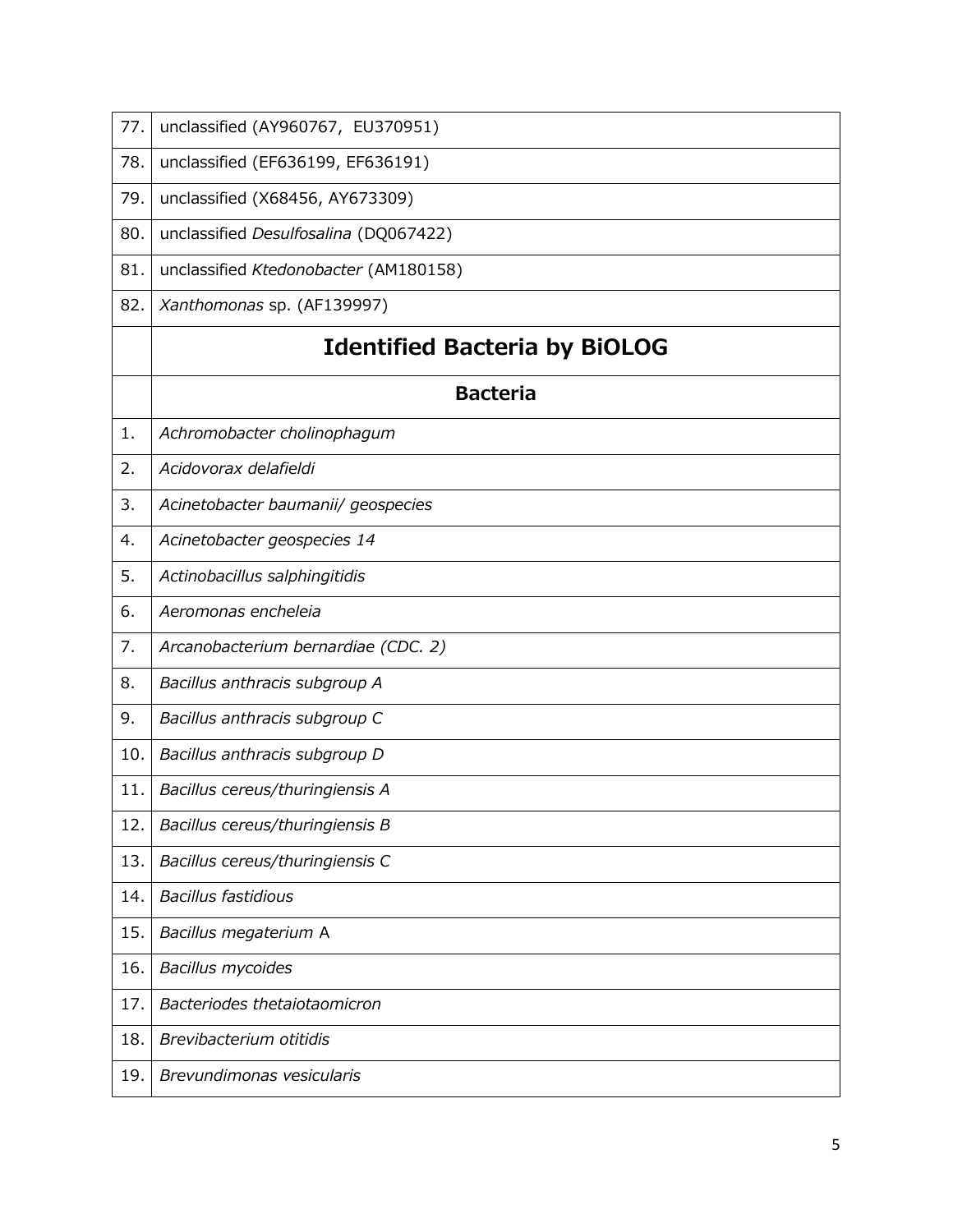| 77. | unclassified (AY960767, EU370951)     |
|-----|---------------------------------------|
| 78. | unclassified (EF636199, EF636191)     |
| 79. | unclassified (X68456, AY673309)       |
| 80. | unclassified Desulfosalina (DQ067422) |
| 81. | unclassified Ktedonobacter (AM180158) |
| 82. | Xanthomonas sp. (AF139997)            |
|     | <b>Identified Bacteria by BIOLOG</b>  |
|     | <b>Bacteria</b>                       |
| 1.  | Achromobacter cholinophagum           |
| 2.  | Acidovorax delafieldi                 |
| 3.  | Acinetobacter baumanii/ geospecies    |
| 4.  | Acinetobacter geospecies 14           |
| 5.  | Actinobacillus salphingitidis         |
| 6.  | Aeromonas encheleia                   |
| 7.  | Arcanobacterium bernardiae (CDC. 2)   |
| 8.  | Bacillus anthracis subgroup A         |
| 9.  | Bacillus anthracis subgroup C         |
| 10. | Bacillus anthracis subgroup D         |
| 11. | Bacillus cereus/thuringiensis A       |
| 12. | Bacillus cereus/thuringiensis B       |
| 13. | Bacillus cereus/thuringiensis C       |
| 14. | <b>Bacillus fastidious</b>            |
| 15. | Bacillus megaterium A                 |
| 16. | <b>Bacillus mycoides</b>              |
| 17. | Bacteriodes thetaiotaomicron          |
| 18. | Brevibacterium otitidis               |
| 19. | Brevundimonas vesicularis             |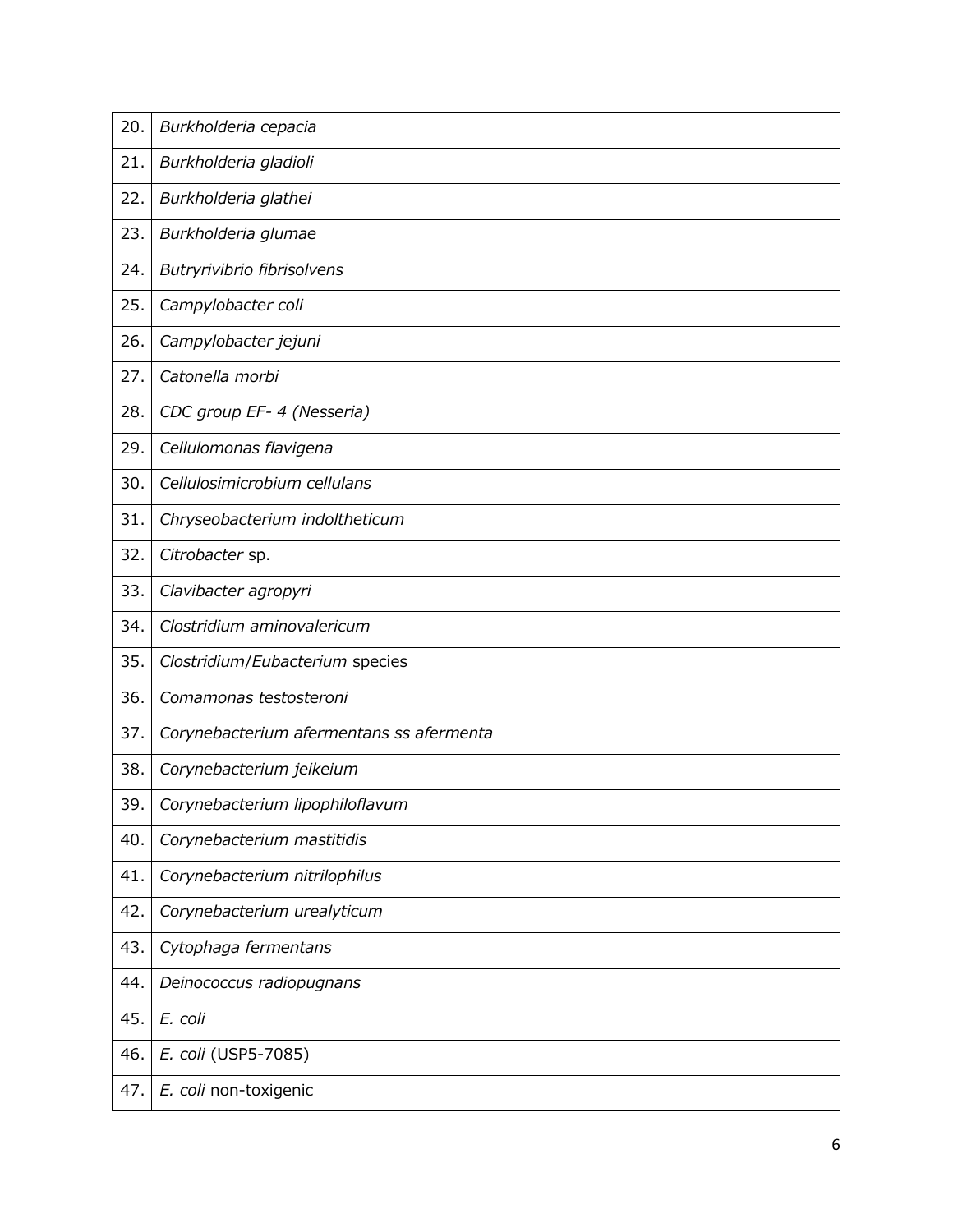| 20. | Burkholderia cepacia                     |
|-----|------------------------------------------|
| 21. | Burkholderia gladioli                    |
| 22. | Burkholderia glathei                     |
| 23. | Burkholderia glumae                      |
| 24. | Butryrivibrio fibrisolvens               |
| 25. | Campylobacter coli                       |
| 26. | Campylobacter jejuni                     |
| 27. | Catonella morbi                          |
| 28. | CDC group EF- 4 (Nesseria)               |
| 29. | Cellulomonas flavigena                   |
| 30. | Cellulosimicrobium cellulans             |
| 31. | Chryseobacterium indoltheticum           |
| 32. | Citrobacter sp.                          |
| 33. | Clavibacter agropyri                     |
| 34. | Clostridium aminovalericum               |
| 35. | Clostridium/Eubacterium species          |
| 36. | Comamonas testosteroni                   |
| 37. | Corynebacterium afermentans ss afermenta |
| 38. | Corynebacterium jeikeium                 |
| 39. | Corynebacterium lipophiloflavum          |
| 40. | Corynebacterium mastitidis               |
| 41. | Corynebacterium nitrilophilus            |
| 42. | Corynebacterium urealyticum              |
| 43. | Cytophaga fermentans                     |
| 44. | Deinococcus radiopugnans                 |
| 45. | E. coli                                  |
| 46. | E. coli (USP5-7085)                      |
| 47. | E. coli non-toxigenic                    |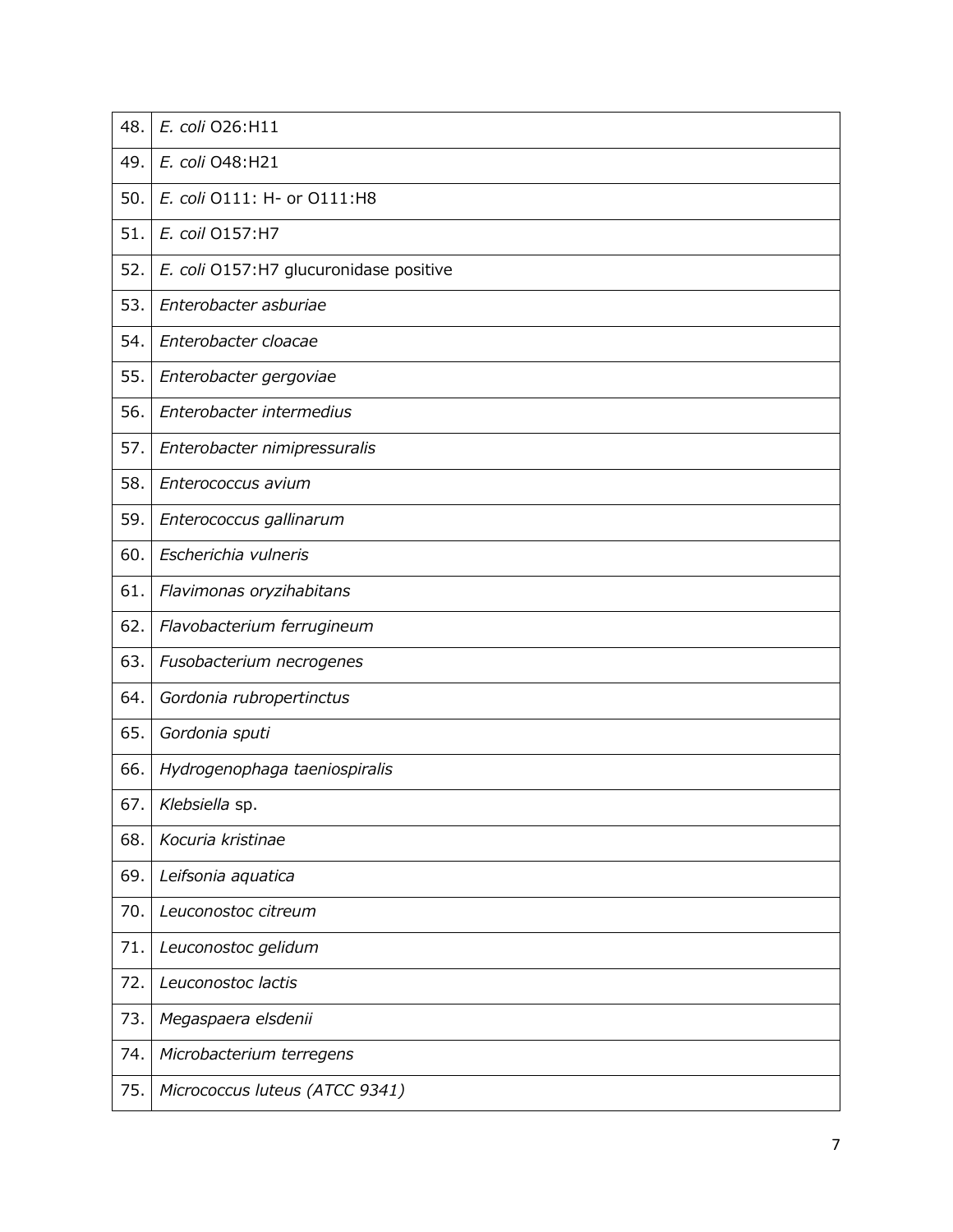| 48.  | E. coli O26:H11                        |
|------|----------------------------------------|
| 49.  | E. coli 048:H21                        |
| 50.  | E. coli 0111: H- or 0111:H8            |
| 51.  | E. coil O157:H7                        |
| 52.  | E. coli O157:H7 glucuronidase positive |
| 53.  | Enterobacter asburiae                  |
| 54.  | Enterobacter cloacae                   |
| 55.  | Enterobacter gergoviae                 |
| 56.  | Enterobacter intermedius               |
| 57.  | Enterobacter nimipressuralis           |
| 58.  | Enterococcus avium                     |
| 59.  | Enterococcus gallinarum                |
| 60.  | Escherichia vulneris                   |
| 61.  | Flavimonas oryzihabitans               |
| 62.  | Flavobacterium ferrugineum             |
| 63.  | Fusobacterium necrogenes               |
| 64.  | Gordonia rubropertinctus               |
| 65.  | Gordonia sputi                         |
| 66.  | Hydrogenophaga taeniospiralis          |
| 67.1 | Klebsiella sp.                         |
| 68.  | Kocuria kristinae                      |
| 69.  | Leifsonia aquatica                     |
| 70.  | Leuconostoc citreum                    |
| 71.  | Leuconostoc gelidum                    |
| 72.  | Leuconostoc lactis                     |
| 73.  | Megaspaera elsdenii                    |
| 74.  | Microbacterium terregens               |
| 75.  | Micrococcus luteus (ATCC 9341)         |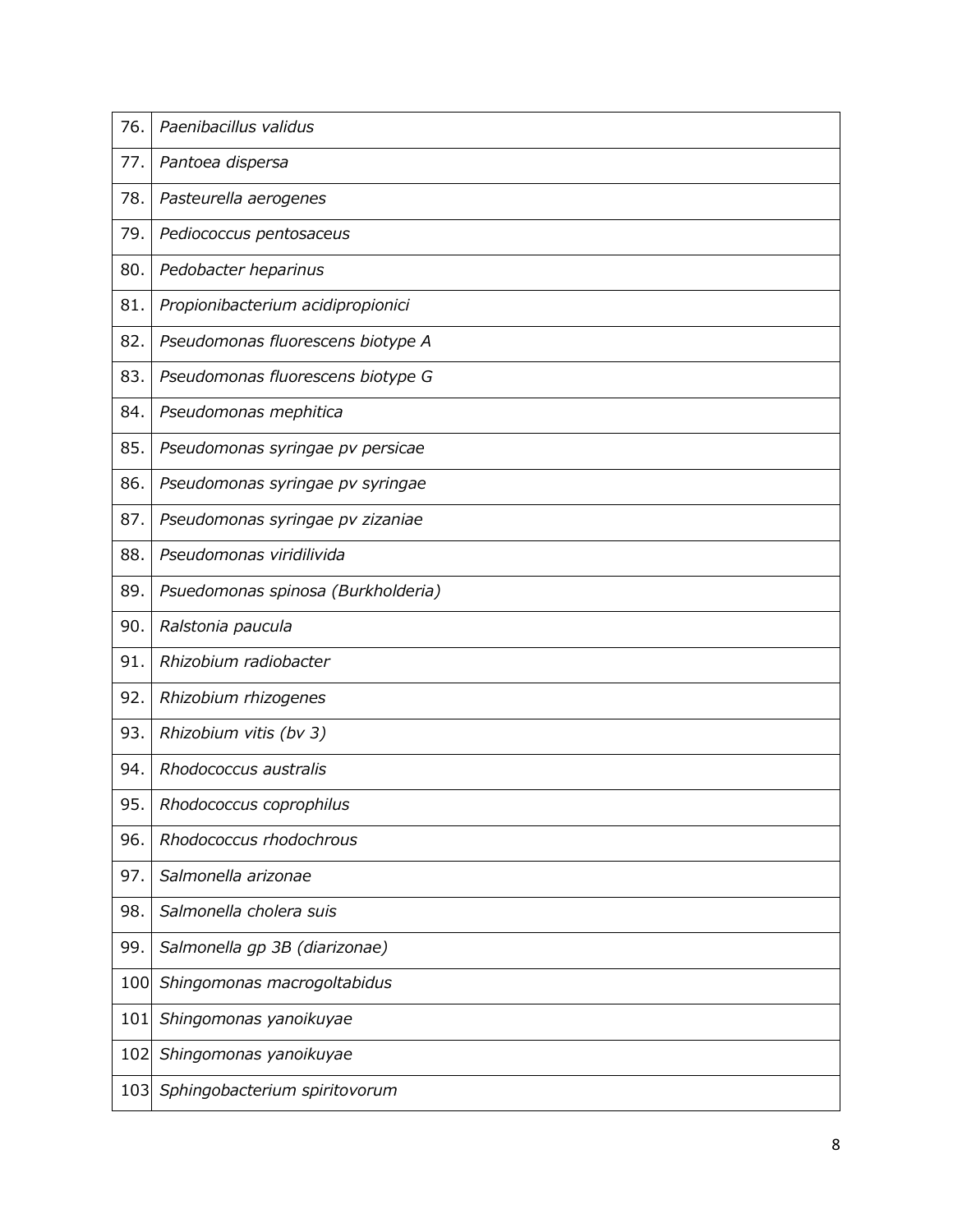| 76. | Paenibacillus validus              |
|-----|------------------------------------|
| 77. | Pantoea dispersa                   |
| 78. | Pasteurella aerogenes              |
| 79. | Pediococcus pentosaceus            |
| 80. | Pedobacter heparinus               |
| 81. | Propionibacterium acidipropionici  |
| 82. | Pseudomonas fluorescens biotype A  |
| 83. | Pseudomonas fluorescens biotype G  |
| 84. | Pseudomonas mephitica              |
| 85. | Pseudomonas syringae pv persicae   |
| 86. | Pseudomonas syringae pv syringae   |
| 87. | Pseudomonas syringae pv zizaniae   |
| 88. | Pseudomonas viridilivida           |
| 89. | Psuedomonas spinosa (Burkholderia) |
| 90. | Ralstonia paucula                  |
| 91. | Rhizobium radiobacter              |
| 92. | Rhizobium rhizogenes               |
| 93. | Rhizobium vitis (bv 3)             |
| 94. | Rhodococcus australis              |
| 95. | Rhodococcus coprophilus            |
| 96. | Rhodococcus rhodochrous            |
| 97. | Salmonella arizonae                |
| 98. | Salmonella cholera suis            |
| 99. | Salmonella gp 3B (diarizonae)      |
| 100 | Shingomonas macrogoltabidus        |
| 101 | Shingomonas yanoikuyae             |
| 102 | Shingomonas yanoikuyae             |
| 103 | Sphingobacterium spiritovorum      |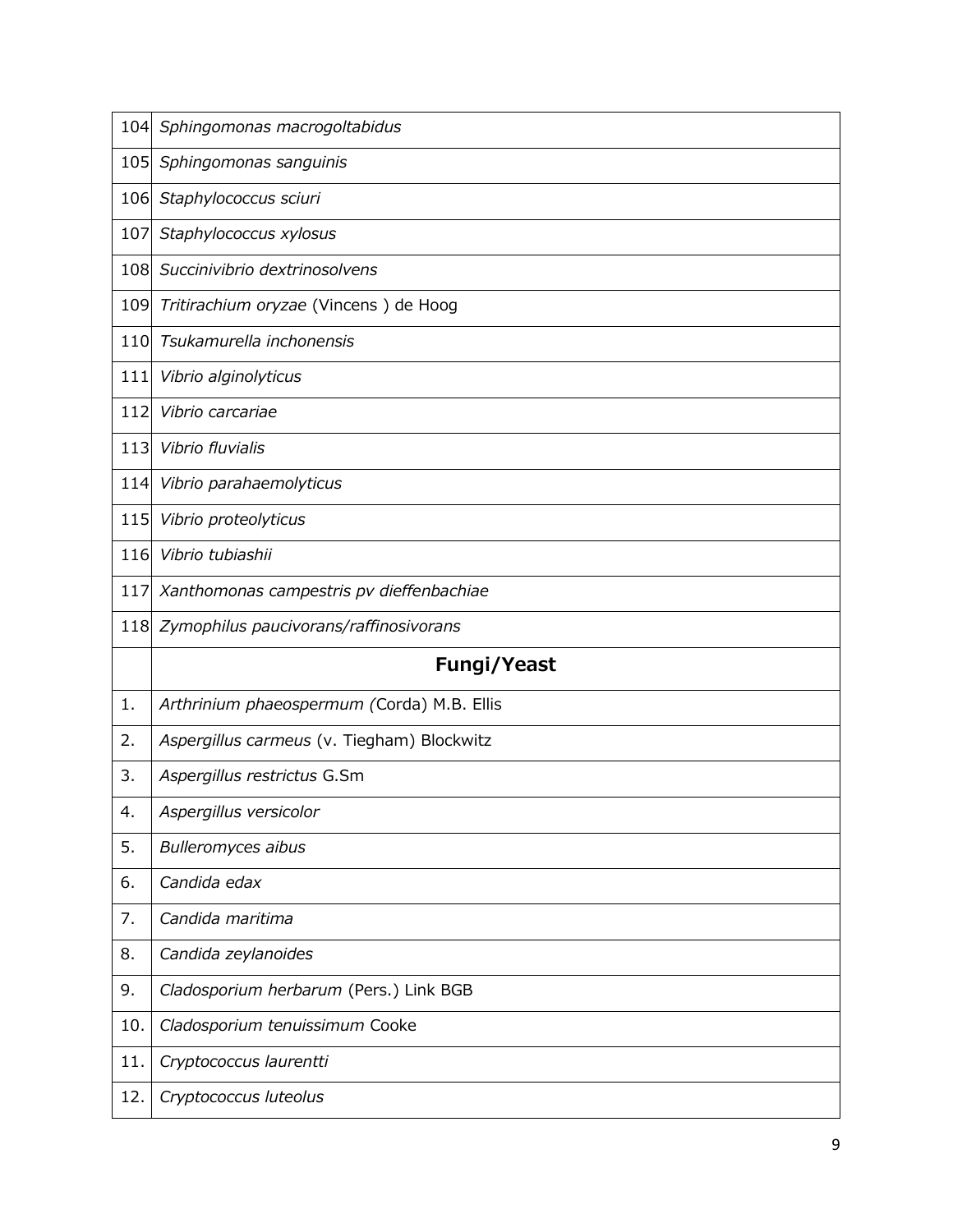| 104 | Sphingomonas macrogoltabidus               |
|-----|--------------------------------------------|
| 105 | Sphingomonas sanguinis                     |
| 106 | Staphylococcus sciuri                      |
| 107 | Staphylococcus xylosus                     |
| 108 | Succinivibrio dextrinosolvens              |
| 109 | Tritirachium oryzae (Vincens) de Hoog      |
| 110 | Tsukamurella inchonensis                   |
| 111 | Vibrio alginolyticus                       |
| 112 | Vibrio carcariae                           |
| 113 | Vibrio fluvialis                           |
| 114 | Vibrio parahaemolyticus                    |
| 115 | Vibrio proteolyticus                       |
| 116 | Vibrio tubiashii                           |
| 117 | Xanthomonas campestris pv dieffenbachiae   |
|     |                                            |
| 118 | Zymophilus paucivorans/raffinosivorans     |
|     | <b>Fungi/Yeast</b>                         |
| 1.  | Arthrinium phaeospermum (Corda) M.B. Ellis |
| 2.  | Aspergillus carmeus (v. Tiegham) Blockwitz |
| 3.  | Aspergillus restrictus G.Sm                |
| 4.  | Aspergillus versicolor                     |
| 5.  | <b>Bulleromyces aibus</b>                  |
| 6.  | Candida edax                               |
| 7.  | Candida maritima                           |
| 8.  | Candida zeylanoides                        |
| 9.  | Cladosporium herbarum (Pers.) Link BGB     |
| 10. | Cladosporium tenuissimum Cooke             |
| 11. | Cryptococcus laurentti                     |